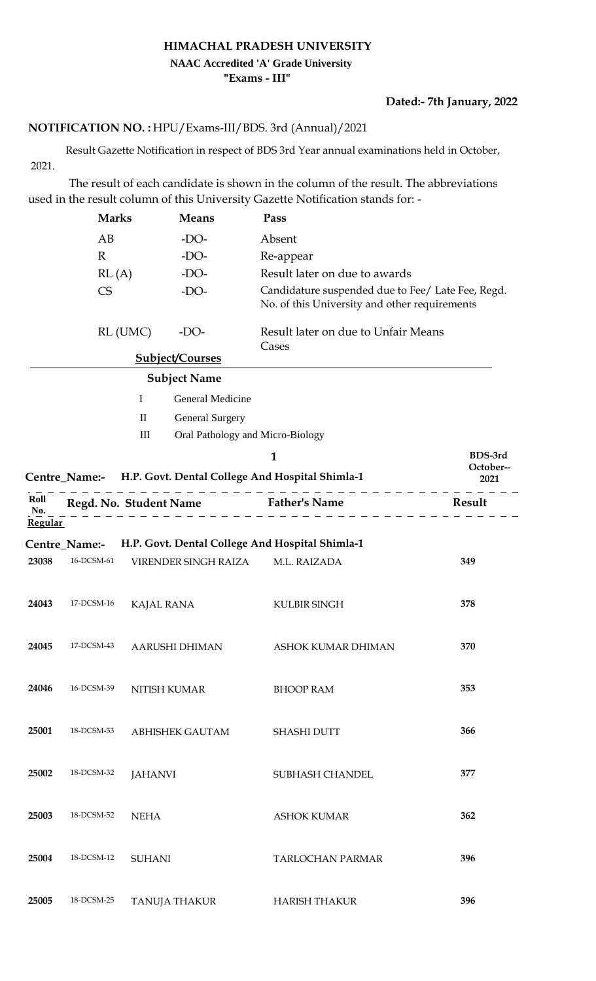## **HIMACHAL PRADESH UNIVERSITY "Exams - III" NAAC Accredited 'A' Grade University**

## **Dated:- 7th January, 2022**

## HPU/Exams-III/BDS. 3rd (Annual)/2021 **NOTIFICATION NO. :**

 Result Gazette Notification in respect of BDS 3rd Year annual examinations held in October, 2021.

 The result of each candidate is shown in the column of the result. The abbreviations used in the result column of this University Gazette Notification stands for: -

|                               | <b>Marks</b>  |                                  | <b>Means</b>                     | Pass                                                                                               |           |
|-------------------------------|---------------|----------------------------------|----------------------------------|----------------------------------------------------------------------------------------------------|-----------|
|                               | AB            |                                  | $-DO-$                           | Absent                                                                                             |           |
|                               | $\mathbb{R}$  |                                  | $-DO-$                           | Re-appear                                                                                          |           |
|                               | RL(A)         |                                  | $-DO-$                           | Result later on due to awards                                                                      |           |
|                               | <b>CS</b>     |                                  | $-DO-$                           | Candidature suspended due to Fee/ Late Fee, Regd.<br>No. of this University and other requirements |           |
|                               |               | RL (UMC)                         | $-DO-$                           | Result later on due to Unfair Means<br>Cases                                                       |           |
|                               |               |                                  | <b>Subject/Courses</b>           |                                                                                                    |           |
|                               |               |                                  | <b>Subject Name</b>              |                                                                                                    |           |
|                               |               | I                                | General Medicine                 |                                                                                                    |           |
|                               |               | $\mathbf{I}$                     | <b>General Surgery</b>           |                                                                                                    |           |
|                               |               | $\mathop{\mathrm{III}}\nolimits$ | Oral Pathology and Micro-Biology |                                                                                                    |           |
|                               |               |                                  |                                  | $\mathbf{1}$                                                                                       | BDS-3rd   |
|                               |               |                                  |                                  | Centre_Name:- H.P. Govt. Dental College And Hospital Shimla-1                                      | October-- |
|                               |               |                                  |                                  |                                                                                                    | 2021      |
| Roll<br>No.<br><b>Regular</b> |               |                                  |                                  | Regd. No. Student Name Father's Name                                                               | Result    |
|                               | Centre_Name:- |                                  |                                  | H.P. Govt. Dental College And Hospital Shimla-1                                                    |           |
| 23038                         | 16-DCSM-61    |                                  | VIRENDER SINGH RAIZA             | M.L. RAIZADA                                                                                       | 349       |
| 24043                         | 17-DCSM-16    | <b>KAJAL RANA</b>                |                                  | <b>KULBIR SINGH</b>                                                                                | 378       |
| 24045                         | 17-DCSM-43    |                                  | <b>AARUSHI DHIMAN</b>            | ASHOK KUMAR DHIMAN                                                                                 | 370       |
| 24046                         | 16-DCSM-39    | NITISH KUMAR                     |                                  | <b>BHOOP RAM</b>                                                                                   | 353       |
| 25001                         | 18-DCSM-53    |                                  | <b>ABHISHEK GAUTAM</b>           | <b>SHASHI DUTT</b>                                                                                 | 366       |
| 25002                         | 18-DCSM-32    | <b>JAHANVI</b>                   |                                  | SUBHASH CHANDEL                                                                                    | 377       |
| 25003                         | 18-DCSM-52    | <b>NEHA</b>                      |                                  | <b>ASHOK KUMAR</b>                                                                                 | 362       |
| 25004                         | 18-DCSM-12    | <b>SUHANI</b>                    |                                  | <b>TARLOCHAN PARMAR</b>                                                                            | 396       |
| 25005                         | 18-DCSM-25    |                                  | <b>TANUJA THAKUR</b>             | <b>HARISH THAKUR</b>                                                                               | 396       |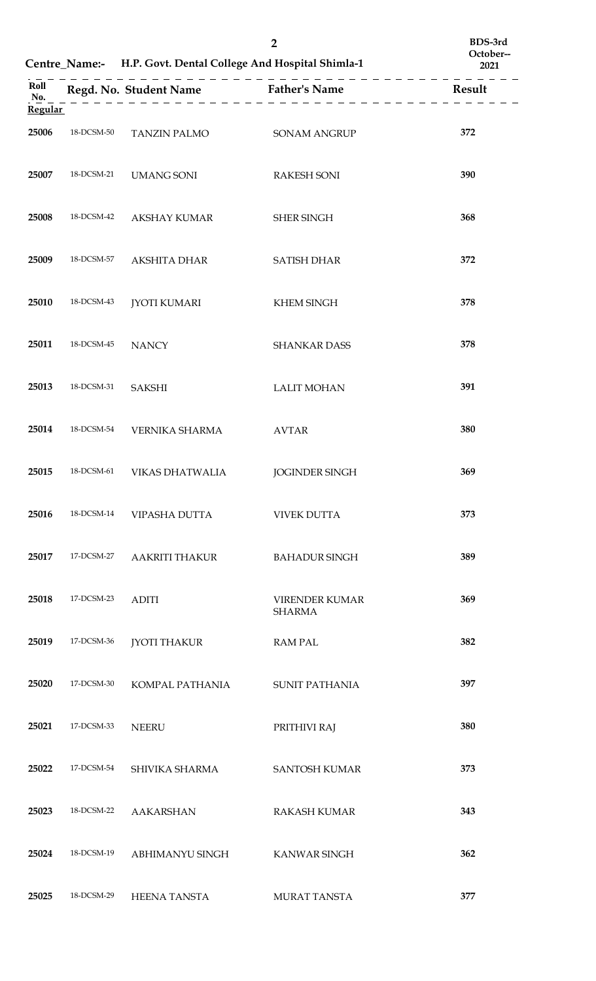|                |            | Centre_Name:- H.P. Govt. Dental College And Hospital Shimla-1 | $\overline{2}$                         | BDS-3rd<br>October--<br>2021 |
|----------------|------------|---------------------------------------------------------------|----------------------------------------|------------------------------|
| Roll<br>No.    |            |                                                               | Regd. No. Student Name Father's Name   | Result                       |
| <b>Regular</b> |            |                                                               |                                        |                              |
| 25006          | 18-DCSM-50 | TANZIN PALMO                                                  | <b>SONAM ANGRUP</b>                    | 372                          |
| 25007          | 18-DCSM-21 | <b>UMANG SONI</b>                                             | <b>RAKESH SONI</b>                     | 390                          |
| 25008          | 18-DCSM-42 | <b>AKSHAY KUMAR</b>                                           | <b>SHER SINGH</b>                      | 368                          |
| 25009          | 18-DCSM-57 | <b>AKSHITA DHAR</b>                                           | <b>SATISH DHAR</b>                     | 372                          |
| 25010          | 18-DCSM-43 | <b>JYOTI KUMARI</b>                                           | <b>KHEM SINGH</b>                      | 378                          |
| 25011          | 18-DCSM-45 | <b>NANCY</b>                                                  | <b>SHANKAR DASS</b>                    | 378                          |
| 25013          | 18-DCSM-31 | <b>SAKSHI</b>                                                 | <b>LALIT MOHAN</b>                     | 391                          |
| 25014          | 18-DCSM-54 | VERNIKA SHARMA                                                | <b>AVTAR</b>                           | 380                          |
|                |            | 25015 18-DCSM-61 VIKAS DHATWALIA JOGINDER SINGH               |                                        | 369                          |
| 25016          | 18-DCSM-14 | VIPASHA DUTTA                                                 | <b>VIVEK DUTTA</b>                     | 373                          |
| 25017          | 17-DCSM-27 | <b>AAKRITI THAKUR</b>                                         | <b>BAHADUR SINGH</b>                   | 389                          |
| 25018          | 17-DCSM-23 | <b>ADITI</b>                                                  | <b>VIRENDER KUMAR</b><br><b>SHARMA</b> | 369                          |
| 25019          | 17-DCSM-36 | <b>JYOTI THAKUR</b>                                           | <b>RAM PAL</b>                         | 382                          |
| 25020          | 17-DCSM-30 | KOMPAL PATHANIA                                               | <b>SUNIT PATHANIA</b>                  | 397                          |
| 25021          | 17-DCSM-33 | <b>NEERU</b>                                                  | PRITHIVI RAJ                           | 380                          |
| 25022          | 17-DCSM-54 | SHIVIKA SHARMA                                                | <b>SANTOSH KUMAR</b>                   | 373                          |
| 25023          | 18-DCSM-22 | <b>AAKARSHAN</b>                                              | <b>RAKASH KUMAR</b>                    | 343                          |
| 25024          | 18-DCSM-19 | ABHIMANYU SINGH                                               | KANWAR SINGH                           | 362                          |
| 25025          | 18-DCSM-29 | <b>HEENA TANSTA</b>                                           | MURAT TANSTA                           | 377                          |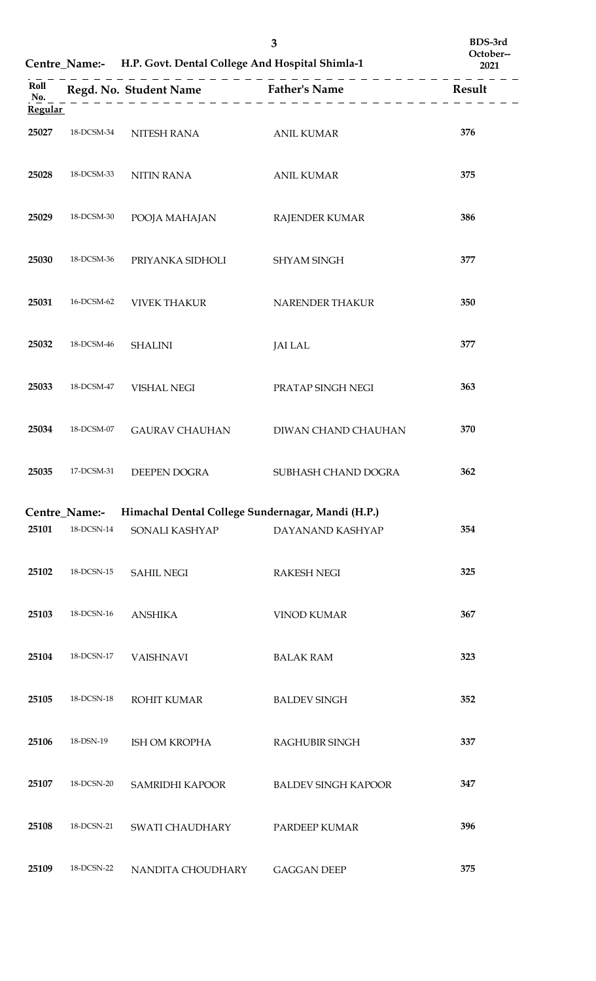|                               |               | Centre_Name:- H.P. Govt. Dental College And Hospital Shimla-1 | 3                                    | BDS-3rd<br>October--<br>2021 |
|-------------------------------|---------------|---------------------------------------------------------------|--------------------------------------|------------------------------|
| Roll<br>No.<br><b>Regular</b> |               |                                                               | Regd. No. Student Name Father's Name | Result                       |
| 25027                         | 18-DCSM-34    | NITESH RANA                                                   | <b>ANIL KUMAR</b>                    | 376                          |
| 25028                         | 18-DCSM-33    | NITIN RANA                                                    | <b>ANIL KUMAR</b>                    | 375                          |
| 25029                         | 18-DCSM-30    | POOJA MAHAJAN                                                 | <b>RAJENDER KUMAR</b>                | 386                          |
| 25030                         | 18-DCSM-36    | PRIYANKA SIDHOLI                                              | <b>SHYAM SINGH</b>                   | 377                          |
| 25031                         | 16-DCSM-62    | <b>VIVEK THAKUR</b>                                           | NARENDER THAKUR                      | 350                          |
| 25032                         | 18-DCSM-46    | <b>SHALINI</b>                                                | <b>JAI LAL</b>                       | 377                          |
| 25033                         | 18-DCSM-47    | <b>VISHAL NEGI</b>                                            | PRATAP SINGH NEGI                    | 363                          |
| 25034                         | 18-DCSM-07    | <b>GAURAV CHAUHAN</b>                                         | DIWAN CHAND CHAUHAN                  | 370                          |
| 25035                         |               | 17-DCSM-31 DEEPEN DOGRA                                       | SUBHASH CHAND DOGRA                  | 362                          |
|                               | Centre_Name:- | Himachal Dental College Sundernagar, Mandi (H.P.)             |                                      |                              |
| 25101                         | 18-DCSN-14    | SONALI KASHYAP                                                | DAYANAND KASHYAP                     | 354                          |
| 25102                         | 18-DCSN-15    | <b>SAHIL NEGI</b>                                             | <b>RAKESH NEGI</b>                   | 325                          |
| 25103                         | 18-DCSN-16    | <b>ANSHIKA</b>                                                | <b>VINOD KUMAR</b>                   | 367                          |
| 25104                         | 18-DCSN-17    | <b>VAISHNAVI</b>                                              | <b>BALAK RAM</b>                     | 323                          |
| 25105                         | 18-DCSN-18    | ROHIT KUMAR                                                   | <b>BALDEV SINGH</b>                  | 352                          |
| 25106                         | 18-DSN-19     | ISH OM KROPHA                                                 | RAGHUBIR SINGH                       | 337                          |
| 25107                         | 18-DCSN-20    | SAMRIDHI KAPOOR                                               | <b>BALDEV SINGH KAPOOR</b>           | 347                          |
| 25108                         | 18-DCSN-21    | SWATI CHAUDHARY                                               | PARDEEP KUMAR                        | 396                          |
| 25109                         | 18-DCSN-22    | NANDITA CHOUDHARY                                             | <b>GAGGAN DEEP</b>                   | 375                          |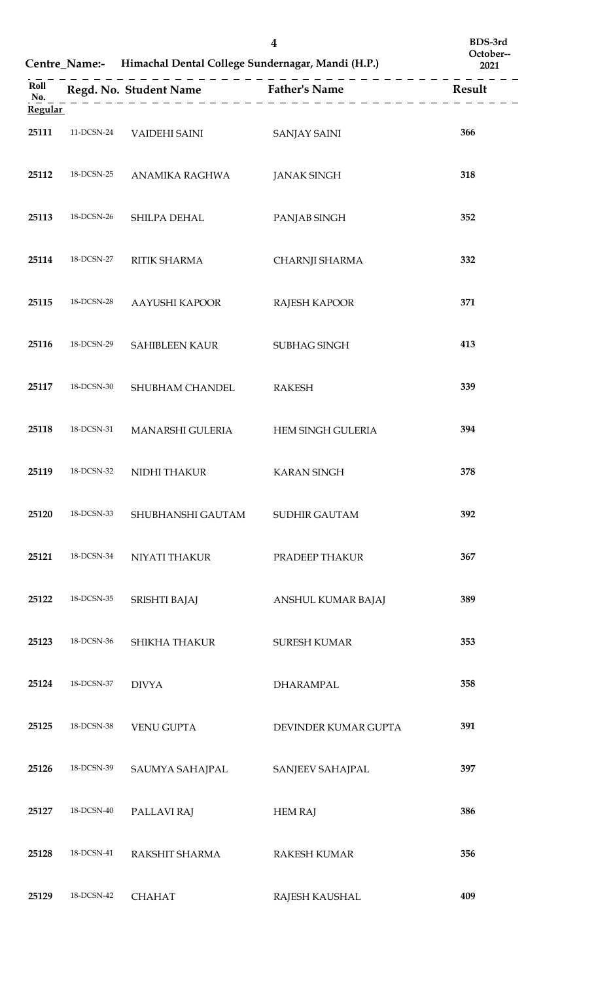|                               |            | Centre_Name:- Himachal Dental College Sundernagar, Mandi (H.P.) | $\boldsymbol{4}$                     | BDS-3rd<br>October--<br>2021 |
|-------------------------------|------------|-----------------------------------------------------------------|--------------------------------------|------------------------------|
| Roll<br>No.<br><b>Regular</b> |            |                                                                 | Regd. No. Student Name Father's Name | Result                       |
| 25111                         | 11-DCSN-24 | VAIDEHI SAINI                                                   | <b>SANJAY SAINI</b>                  | 366                          |
| 25112                         | 18-DCSN-25 | ANAMIKA RAGHWA                                                  | <b>JANAK SINGH</b>                   | 318                          |
| 25113                         | 18-DCSN-26 | SHILPA DEHAL                                                    | PANJAB SINGH                         | 352                          |
| 25114                         | 18-DCSN-27 | RITIK SHARMA                                                    | CHARNJI SHARMA                       | 332                          |
| 25115                         | 18-DCSN-28 | AAYUSHI KAPOOR                                                  | RAJESH KAPOOR                        | 371                          |
| 25116                         | 18-DCSN-29 | <b>SAHIBLEEN KAUR</b>                                           | SUBHAG SINGH                         | 413                          |
| 25117                         | 18-DCSN-30 | SHUBHAM CHANDEL                                                 | <b>RAKESH</b>                        | 339                          |
| 25118                         | 18-DCSN-31 | MANARSHI GULERIA                                                | HEM SINGH GULERIA                    | 394                          |
| 25119                         |            | 18-DCSN-32 NIDHI THAKUR                                         | <b>KARAN SINGH</b>                   | 378                          |
| 25120                         | 18-DCSN-33 | SHUBHANSHI GAUTAM                                               | <b>SUDHIR GAUTAM</b>                 | 392                          |
| 25121                         | 18-DCSN-34 | NIYATI THAKUR                                                   | PRADEEP THAKUR                       | 367                          |
| 25122                         | 18-DCSN-35 | SRISHTI BAJAJ                                                   | ANSHUL KUMAR BAJAJ                   | 389                          |
| 25123                         | 18-DCSN-36 | SHIKHA THAKUR                                                   | <b>SURESH KUMAR</b>                  | 353                          |
| 25124                         | 18-DCSN-37 | <b>DIVYA</b>                                                    | <b>DHARAMPAL</b>                     | 358                          |
| 25125                         | 18-DCSN-38 | <b>VENU GUPTA</b>                                               | DEVINDER KUMAR GUPTA                 | 391                          |
| 25126                         | 18-DCSN-39 | SAUMYA SAHAJPAL                                                 | SANJEEV SAHAJPAL                     | 397                          |
| 25127                         | 18-DCSN-40 | PALLAVI RAJ                                                     | <b>HEM RAJ</b>                       | 386                          |
| 25128                         | 18-DCSN-41 | RAKSHIT SHARMA                                                  | <b>RAKESH KUMAR</b>                  | 356                          |
| 25129                         | 18-DCSN-42 | <b>CHAHAT</b>                                                   | RAJESH KAUSHAL                       | 409                          |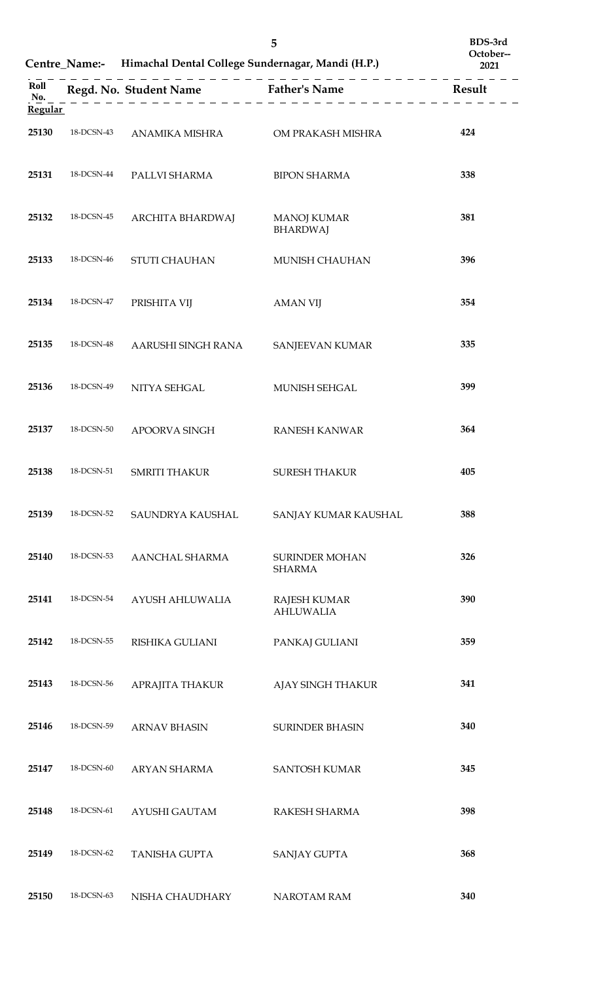|                               |            | Centre_Name:- Himachal Dental College Sundernagar, Mandi (H.P.) | BDS-3rd<br>October--<br>2021            |        |
|-------------------------------|------------|-----------------------------------------------------------------|-----------------------------------------|--------|
| Roll<br>No.<br><b>Regular</b> |            |                                                                 | Regd. No. Student Name Father's Name    | Result |
| 25130                         | 18-DCSN-43 | ANAMIKA MISHRA                                                  | OM PRAKASH MISHRA                       | 424    |
| 25131                         | 18-DCSN-44 | PALLVI SHARMA                                                   | <b>BIPON SHARMA</b>                     | 338    |
| 25132                         | 18-DCSN-45 | ARCHITA BHARDWAJ                                                | <b>MANOJ KUMAR</b><br><b>BHARDWAJ</b>   | 381    |
| 25133                         | 18-DCSN-46 | <b>STUTI CHAUHAN</b>                                            | <b>MUNISH CHAUHAN</b>                   | 396    |
| 25134                         | 18-DCSN-47 | PRISHITA VIJ                                                    | <b>AMAN VIJ</b>                         | 354    |
| 25135                         | 18-DCSN-48 | AARUSHI SINGH RANA                                              | SANJEEVAN KUMAR                         | 335    |
| 25136                         | 18-DCSN-49 | NITYA SEHGAL                                                    | MUNISH SEHGAL                           | 399    |
| 25137                         | 18-DCSN-50 | APOORVA SINGH                                                   | <b>RANESH KANWAR</b>                    | 364    |
| 25138                         | 18-DCSN-51 | <b>SMRITI THAKUR</b>                                            | <b>SURESH THAKUR</b>                    | 405    |
| 25139                         | 18-DCSN-52 | SAUNDRYA KAUSHAL                                                | SANJAY KUMAR KAUSHAL                    | 388    |
| 25140                         | 18-DCSN-53 | AANCHAL SHARMA                                                  | <b>SURINDER MOHAN</b><br><b>SHARMA</b>  | 326    |
| 25141                         | 18-DCSN-54 | AYUSH AHLUWALIA                                                 | <b>RAJESH KUMAR</b><br><b>AHLUWALIA</b> | 390    |
| 25142                         | 18-DCSN-55 | RISHIKA GULIANI                                                 | PANKAJ GULIANI                          | 359    |
| 25143                         | 18-DCSN-56 | APRAJITA THAKUR                                                 | AJAY SINGH THAKUR                       | 341    |
| 25146                         | 18-DCSN-59 | <b>ARNAV BHASIN</b>                                             | <b>SURINDER BHASIN</b>                  | 340    |
| 25147                         | 18-DCSN-60 | ARYAN SHARMA                                                    | <b>SANTOSH KUMAR</b>                    | 345    |
| 25148                         | 18-DCSN-61 | AYUSHI GAUTAM                                                   | RAKESH SHARMA                           | 398    |
| 25149                         | 18-DCSN-62 | <b>TANISHA GUPTA</b>                                            | <b>SANJAY GUPTA</b>                     | 368    |
| 25150                         | 18-DCSN-63 | NISHA CHAUDHARY                                                 | NAROTAM RAM                             | 340    |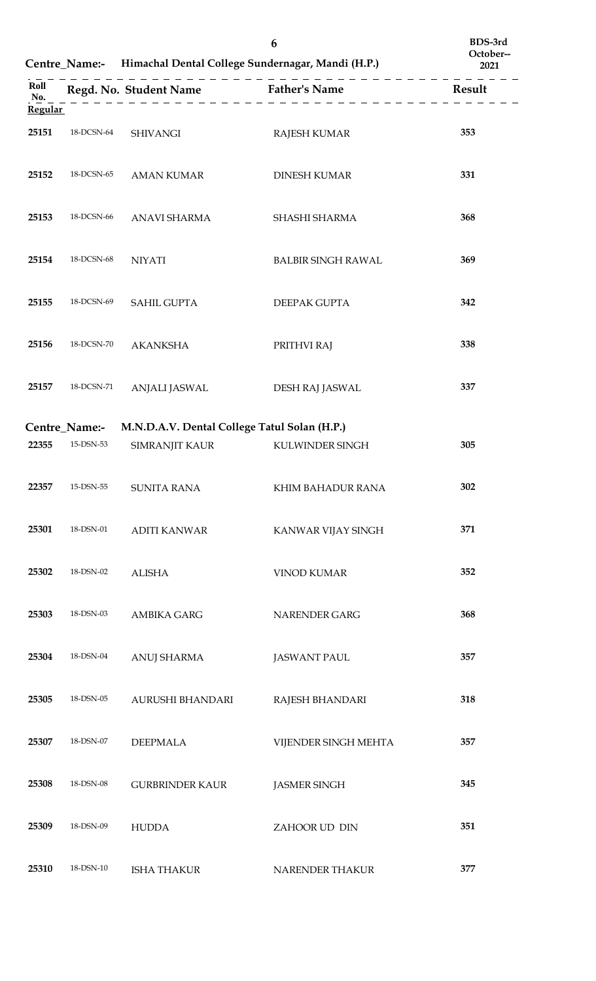|                |                            | Centre_Name:- Himachal Dental College Sundernagar, Mandi (H.P.) | 6                                                         | BDS-3rd<br>October--<br>2021 |
|----------------|----------------------------|-----------------------------------------------------------------|-----------------------------------------------------------|------------------------------|
| Roll<br>No.    |                            |                                                                 | . <u>.</u><br>Regd. No. Student Name Father's Name Result |                              |
| <b>Regular</b> |                            |                                                                 |                                                           |                              |
| 25151          | 18-DCSN-64                 | <b>SHIVANGI</b>                                                 | <b>RAJESH KUMAR</b>                                       | 353                          |
| 25152          | 18-DCSN-65                 | <b>AMAN KUMAR</b>                                               | <b>DINESH KUMAR</b>                                       | 331                          |
| 25153          | 18-DCSN-66                 | ANAVI SHARMA                                                    | SHASHI SHARMA                                             | 368                          |
| 25154          | 18-DCSN-68                 | <b>NIYATI</b>                                                   | <b>BALBIR SINGH RAWAL</b>                                 | 369                          |
| 25155          | 18-DCSN-69                 | <b>SAHIL GUPTA</b>                                              | DEEPAK GUPTA                                              | 342                          |
| 25156          | 18-DCSN-70                 | <b>AKANKSHA</b>                                                 | PRITHVI RAJ                                               | 338                          |
| 25157          | 18-DCSN-71                 | ANJALI JASWAL                                                   | DESH RAJ JASWAL                                           | 337                          |
|                |                            |                                                                 |                                                           |                              |
| 22355          | Centre_Name:-<br>15-DSN-53 | M.N.D.A.V. Dental College Tatul Solan (H.P.)<br>SIMRANJIT KAUR  | KULWINDER SINGH                                           | 305                          |
|                |                            |                                                                 |                                                           |                              |
| 22357          | 15-DSN-55                  | <b>SUNITA RANA</b>                                              | KHIM BAHADUR RANA                                         | 302                          |
| 25301          | 18-DSN-01                  | <b>ADITI KANWAR</b>                                             | KANWAR VIJAY SINGH                                        | 371                          |
| 25302          | 18-DSN-02                  | <b>ALISHA</b>                                                   | <b>VINOD KUMAR</b>                                        | 352                          |
| 25303          | 18-DSN-03                  | <b>AMBIKA GARG</b>                                              | NARENDER GARG                                             | 368                          |
| 25304          | 18-DSN-04                  | <b>ANUJ SHARMA</b>                                              | <b>JASWANT PAUL</b>                                       | 357                          |
| 25305          | 18-DSN-05                  | AURUSHI BHANDARI                                                | RAJESH BHANDARI                                           | 318                          |
| 25307          | 18-DSN-07                  | <b>DEEPMALA</b>                                                 | VIJENDER SINGH MEHTA                                      | 357                          |
| 25308          | 18-DSN-08                  | <b>GURBRINDER KAUR</b>                                          | <b>JASMER SINGH</b>                                       | 345                          |
| 25309          | 18-DSN-09                  | <b>HUDDA</b>                                                    | ZAHOOR UD DIN                                             | 351                          |
| 25310          | 18-DSN-10                  | <b>ISHA THAKUR</b>                                              | NARENDER THAKUR                                           | 377                          |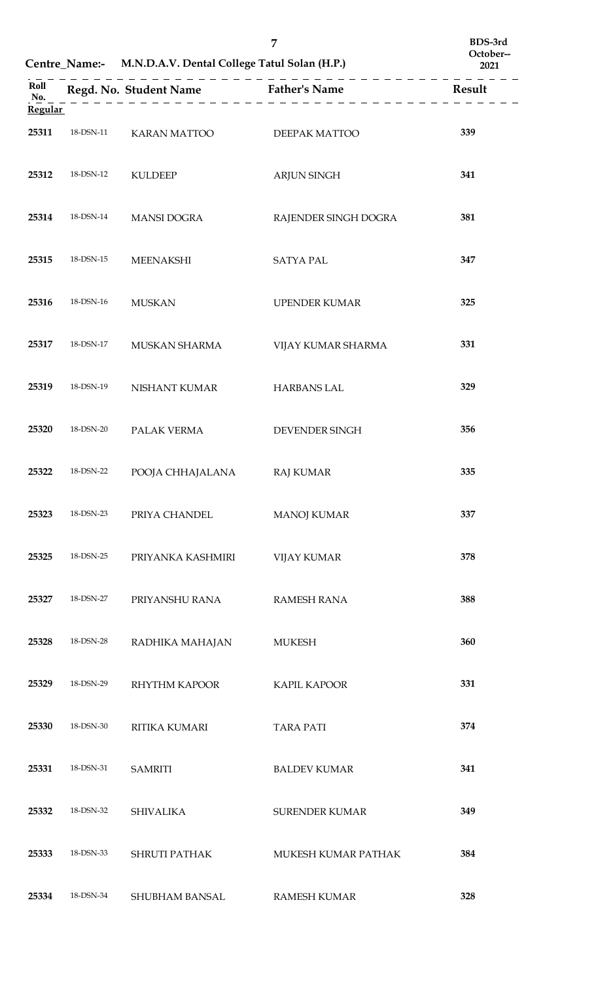|                               |                   | Centre_Name:- M.N.D.A.V. Dental College Tatul Solan (H.P.) | 7                                    | BDS-3rd<br>October--<br>2021 |
|-------------------------------|-------------------|------------------------------------------------------------|--------------------------------------|------------------------------|
| Roll<br>No.<br><b>Regular</b> |                   |                                                            | Regd. No. Student Name Father's Name | Result                       |
| 25311                         | $18$ -DSN- $11\,$ | KARAN MATTOO                                               | DEEPAK MATTOO                        | 339                          |
| 25312                         | $18$ -DSN- $12\,$ | <b>KULDEEP</b>                                             | ARJUN SINGH                          | 341                          |
| 25314                         | 18-DSN-14         | <b>MANSI DOGRA</b>                                         | RAJENDER SINGH DOGRA                 | 381                          |
| 25315                         | 18-DSN-15         | <b>MEENAKSHI</b>                                           | <b>SATYA PAL</b>                     | 347                          |
| 25316                         | 18-DSN-16         | <b>MUSKAN</b>                                              | <b>UPENDER KUMAR</b>                 | 325                          |
| 25317                         | 18-DSN-17         | MUSKAN SHARMA                                              | VIJAY KUMAR SHARMA                   | 331                          |
| 25319                         | 18-DSN-19         | NISHANT KUMAR                                              | <b>HARBANS LAL</b>                   | 329                          |
| 25320                         | 18-DSN-20         | PALAK VERMA                                                | DEVENDER SINGH                       | 356                          |
| 25322                         | 18-DSN-22         | POOJA CHHAJALANA                                           | <b>RAJ KUMAR</b>                     | 335                          |
| 25323                         | 18-DSN-23         | PRIYA CHANDEL                                              | <b>MANOJ KUMAR</b>                   | 337                          |
| 25325                         | 18-DSN-25         | PRIYANKA KASHMIRI                                          | <b>VIJAY KUMAR</b>                   | 378                          |
| 25327                         | 18-DSN-27         | PRIYANSHU RANA                                             | <b>RAMESH RANA</b>                   | 388                          |
| 25328                         | 18-DSN-28         | RADHIKA MAHAJAN                                            | <b>MUKESH</b>                        | 360                          |
| 25329                         | 18-DSN-29         | RHYTHM KAPOOR                                              | <b>KAPIL KAPOOR</b>                  | 331                          |
| 25330                         | 18-DSN-30         | RITIKA KUMARI                                              | <b>TARA PATI</b>                     | 374                          |
| 25331                         | 18-DSN-31         | <b>SAMRITI</b>                                             | <b>BALDEV KUMAR</b>                  | 341                          |
| 25332                         | 18-DSN-32         | <b>SHIVALIKA</b>                                           | <b>SURENDER KUMAR</b>                | 349                          |
| 25333                         | 18-DSN-33         | <b>SHRUTI PATHAK</b>                                       | MUKESH KUMAR PATHAK                  | 384                          |
| 25334                         | 18-DSN-34         | SHUBHAM BANSAL                                             | <b>RAMESH KUMAR</b>                  | 328                          |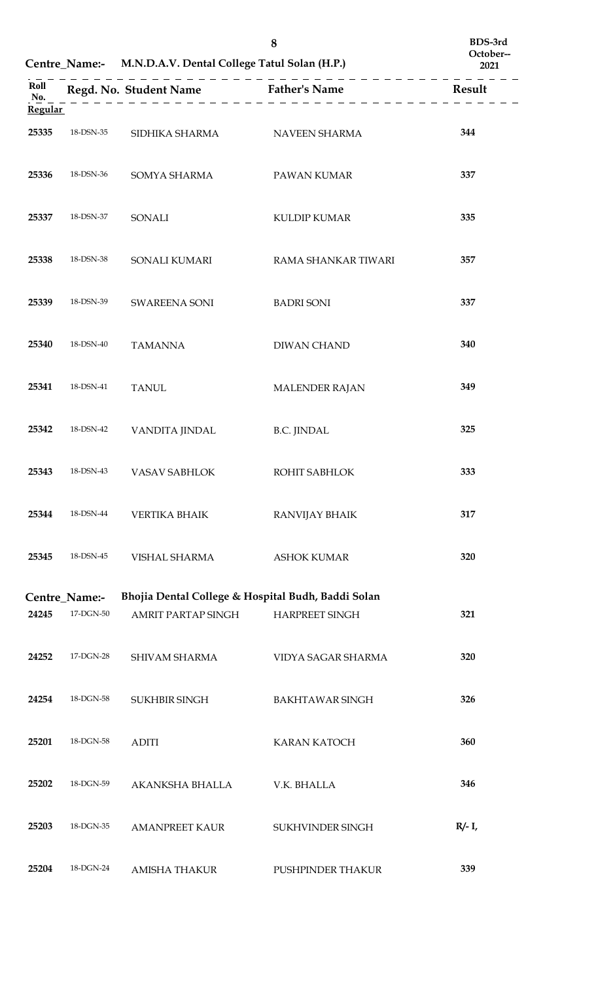|                               |               | Centre_Name:- M.N.D.A.V. Dental College Tatul Solan (H.P.) | 8                                                  | BDS-3rd<br>October--<br>2021 |
|-------------------------------|---------------|------------------------------------------------------------|----------------------------------------------------|------------------------------|
| Roll<br>No.<br><b>Regular</b> |               |                                                            | Regd. No. Student Name Father's Name               | <b>Result</b>                |
| 25335                         | 18-DSN-35     | SIDHIKA SHARMA                                             | NAVEEN SHARMA                                      | 344                          |
| 25336                         | 18-DSN-36     | SOMYA SHARMA                                               | PAWAN KUMAR                                        | 337                          |
| 25337                         | 18-DSN-37     | SONALI                                                     | <b>KULDIP KUMAR</b>                                | 335                          |
| 25338                         | 18-DSN-38     | SONALI KUMARI                                              | RAMA SHANKAR TIWARI                                | 357                          |
| 25339                         | 18-DSN-39     | SWAREENA SONI                                              | <b>BADRI SONI</b>                                  | 337                          |
| 25340                         | 18-DSN-40     | <b>TAMANNA</b>                                             | DIWAN CHAND                                        | 340                          |
| 25341                         | 18-DSN-41     | <b>TANUL</b>                                               | MALENDER RAJAN                                     | 349                          |
| 25342                         | 18-DSN-42     | VANDITA JINDAL                                             | <b>B.C. JINDAL</b>                                 | 325                          |
| 25343                         | 18-DSN-43     | VASAV SABHLOK                                              | ROHIT SABHLOK                                      | 333                          |
| 25344                         | 18-DSN-44     | <b>VERTIKA BHAIK</b>                                       | RANVIJAY BHAIK                                     | 317                          |
| 25345                         | 18-DSN-45     | VISHAL SHARMA                                              | <b>ASHOK KUMAR</b>                                 | 320                          |
|                               | Centre_Name:- |                                                            | Bhojia Dental College & Hospital Budh, Baddi Solan |                              |
| 24245                         | 17-DGN-50     | <b>AMRIT PARTAP SINGH</b>                                  | <b>HARPREET SINGH</b>                              | 321                          |
| 24252                         | 17-DGN-28     | SHIVAM SHARMA                                              | VIDYA SAGAR SHARMA                                 | 320                          |
| 24254                         | 18-DGN-58     | <b>SUKHBIR SINGH</b>                                       | <b>BAKHTAWAR SINGH</b>                             | 326                          |
| 25201                         | 18-DGN-58     | <b>ADITI</b>                                               | <b>KARAN KATOCH</b>                                | 360                          |
| 25202                         | 18-DGN-59     | AKANKSHA BHALLA                                            | V.K. BHALLA                                        | 346                          |
| 25203                         | 18-DGN-35     | <b>AMANPREET KAUR</b>                                      | SUKHVINDER SINGH                                   | $R/- I$ ,                    |
| 25204                         | 18-DGN-24     | <b>AMISHA THAKUR</b>                                       | PUSHPINDER THAKUR                                  | 339                          |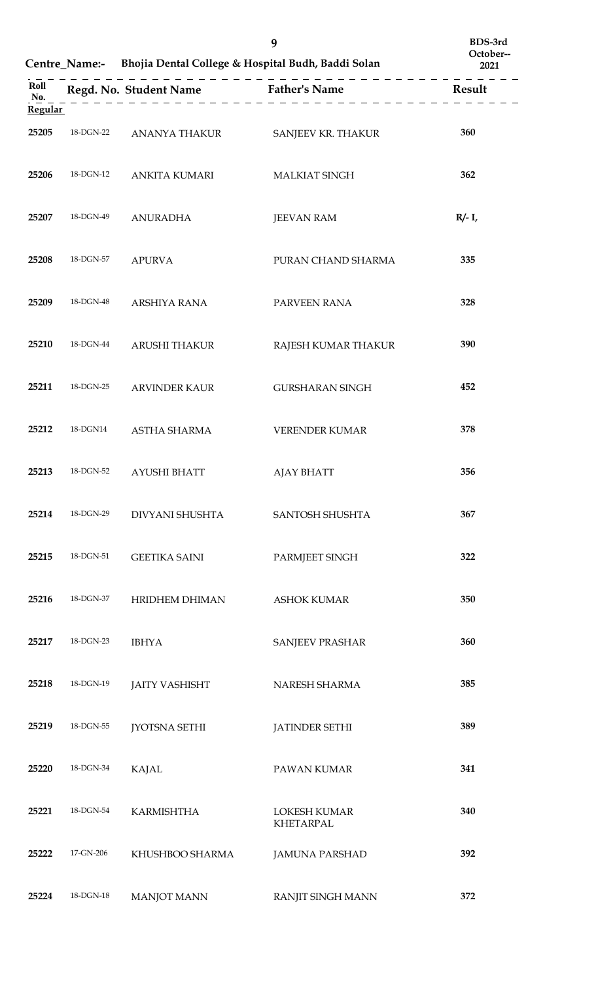|                |           |                                      | 9<br>Centre_Name:- Bhojia Dental College & Hospital Budh, Baddi Solan | BDS-3rd<br>October--<br>2021 |
|----------------|-----------|--------------------------------------|-----------------------------------------------------------------------|------------------------------|
| Roll<br>No.    |           | Regd. No. Student Name Father's Name |                                                                       | Result                       |
| <b>Regular</b> |           |                                      |                                                                       |                              |
| 25205          | 18-DGN-22 | ANANYA THAKUR                        | SANJEEV KR. THAKUR                                                    | 360                          |
| 25206          | 18-DGN-12 | <b>ANKITA KUMARI</b>                 | MALKIAT SINGH                                                         | 362                          |
| 25207          | 18-DGN-49 | <b>ANURADHA</b>                      | <b>JEEVAN RAM</b>                                                     | $R/- I$ ,                    |
| 25208          | 18-DGN-57 | <b>APURVA</b>                        | PURAN CHAND SHARMA                                                    | 335                          |
| 25209          | 18-DGN-48 | ARSHIYA RANA                         | PARVEEN RANA                                                          | 328                          |
| 25210          | 18-DGN-44 | ARUSHI THAKUR                        | RAJESH KUMAR THAKUR                                                   | 390                          |
| 25211          | 18-DGN-25 | <b>ARVINDER KAUR</b>                 | <b>GURSHARAN SINGH</b>                                                | 452                          |
| 25212          | 18-DGN14  | <b>ASTHA SHARMA</b>                  | <b>VERENDER KUMAR</b>                                                 | 378                          |
| 25213          |           | 18-DGN-52 AYUSHI BHATT               | AJAY BHATT                                                            | 356                          |
| 25214          | 18-DGN-29 | DIVYANI SHUSHTA                      | SANTOSH SHUSHTA                                                       | 367                          |
| 25215          | 18-DGN-51 | <b>GEETIKA SAINI</b>                 | PARMJEET SINGH                                                        | 322                          |
| 25216          | 18-DGN-37 | HRIDHEM DHIMAN                       | <b>ASHOK KUMAR</b>                                                    | 350                          |
| 25217          | 18-DGN-23 | <b>IBHYA</b>                         | <b>SANJEEV PRASHAR</b>                                                | 360                          |
| 25218          | 18-DGN-19 | <b>JAITY VASHISHT</b>                | NARESH SHARMA                                                         | 385                          |
| 25219          | 18-DGN-55 | <b>JYOTSNA SETHI</b>                 | <b>JATINDER SETHI</b>                                                 | 389                          |
| 25220          | 18-DGN-34 | <b>KAJAL</b>                         | PAWAN KUMAR                                                           | 341                          |
| 25221          | 18-DGN-54 | <b>KARMISHTHA</b>                    | <b>LOKESH KUMAR</b><br><b>KHETARPAL</b>                               | 340                          |
| 25222          | 17-GN-206 | KHUSHBOO SHARMA                      | <b>JAMUNA PARSHAD</b>                                                 | 392                          |
| 25224          | 18-DGN-18 | <b>MANJOT MANN</b>                   | <b>RANJIT SINGH MANN</b>                                              | 372                          |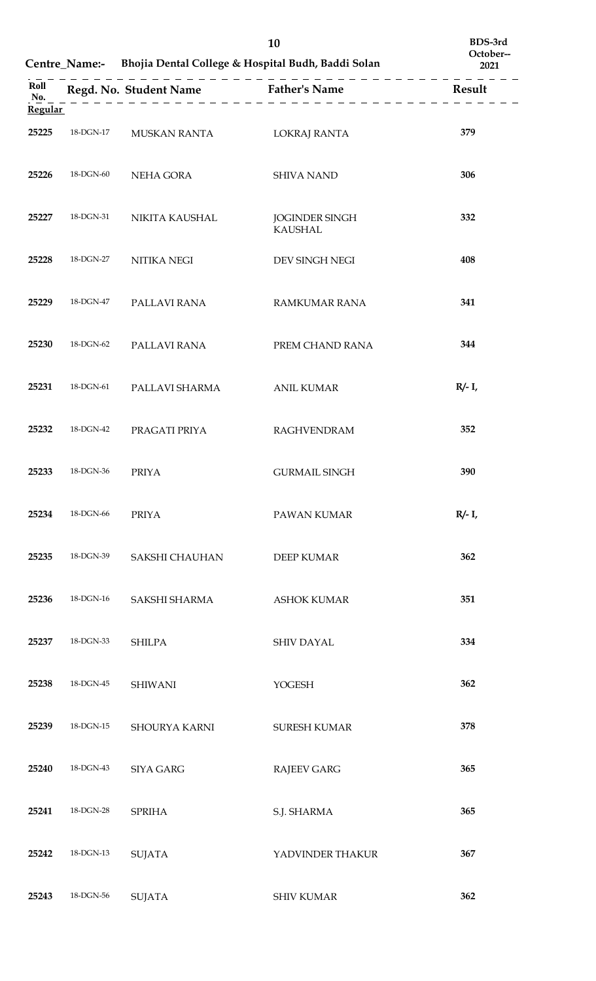|                |                           |                  | 10<br>Centre_Name:- Bhojia Dental College & Hospital Budh, Baddi Solan | BDS-3rd<br>October--<br>2021 |
|----------------|---------------------------|------------------|------------------------------------------------------------------------|------------------------------|
| Roll<br>No.    |                           |                  | Regd. No. Student Name Father's Name                                   | Result                       |
| <b>Regular</b> |                           |                  |                                                                        |                              |
| 25225          | $18\mbox{-}\text{DGN-}17$ | MUSKAN RANTA     | <b>LOKRAJ RANTA</b>                                                    | 379                          |
| 25226          | 18-DGN-60                 | NEHA GORA        | <b>SHIVA NAND</b>                                                      | 306                          |
| 25227          | 18-DGN-31                 | NIKITA KAUSHAL   | <b>JOGINDER SINGH</b><br><b>KAUSHAL</b>                                | 332                          |
| 25228          | 18-DGN-27                 | NITIKA NEGI      | DEV SINGH NEGI                                                         | 408                          |
| 25229          | 18-DGN-47                 | PALLAVI RANA     | RAMKUMAR RANA                                                          | 341                          |
| 25230          | 18-DGN-62                 | PALLAVI RANA     | PREM CHAND RANA                                                        | 344                          |
| 25231          | 18-DGN-61                 | PALLAVI SHARMA   | <b>ANIL KUMAR</b>                                                      | $R/- I$ ,                    |
| 25232          | 18-DGN-42                 | PRAGATI PRIYA    | <b>RAGHVENDRAM</b>                                                     | 352                          |
| 25233          | 18-DGN-36                 | <b>PRIYA</b>     | <b>GURMAIL SINGH</b>                                                   | 390                          |
| 25234          | 18-DGN-66                 | <b>PRIYA</b>     | PAWAN KUMAR                                                            | $R/- I$ ,                    |
| 25235          | 18-DGN-39                 | SAKSHI CHAUHAN   | <b>DEEP KUMAR</b>                                                      | 362                          |
| 25236          | 18-DGN-16                 | SAKSHI SHARMA    | <b>ASHOK KUMAR</b>                                                     | 351                          |
| 25237          | 18-DGN-33                 | <b>SHILPA</b>    | <b>SHIV DAYAL</b>                                                      | 334                          |
| 25238          | 18-DGN-45                 | <b>SHIWANI</b>   | YOGESH                                                                 | 362                          |
| 25239          | 18-DGN-15                 | SHOURYA KARNI    | SURESH KUMAR                                                           | 378                          |
| 25240          | 18-DGN-43                 | <b>SIYA GARG</b> | <b>RAJEEV GARG</b>                                                     | 365                          |
| 25241          | 18-DGN-28                 | <b>SPRIHA</b>    | S.J. SHARMA                                                            | 365                          |
| 25242          | 18-DGN-13                 | <b>SUJATA</b>    | YADVINDER THAKUR                                                       | 367                          |
| 25243          | 18-DGN-56                 | <b>SUJATA</b>    | <b>SHIV KUMAR</b>                                                      | 362                          |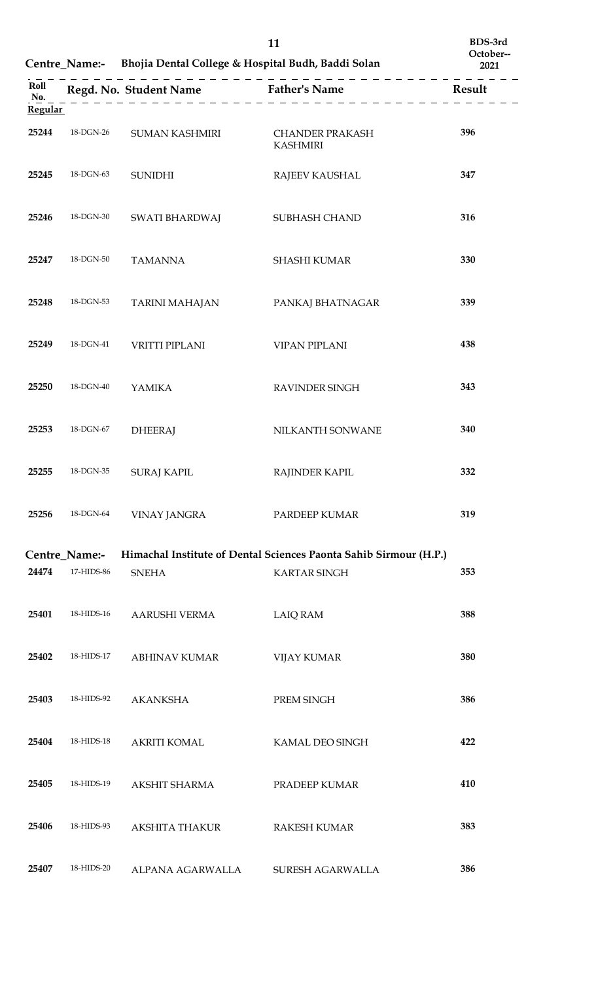|                               |                             | Centre_Name:- Bhojia Dental College & Hospital Budh, Baddi Solan | 11                                                                | BDS-3rd<br>October--<br>2021 |
|-------------------------------|-----------------------------|------------------------------------------------------------------|-------------------------------------------------------------------|------------------------------|
| Roll<br>No.<br><b>Regular</b> |                             |                                                                  | <b>Result</b><br>$------------$                                   |                              |
| 25244                         | 18-DGN-26                   | SUMAN KASHMIRI                                                   | <b>CHANDER PRAKASH</b><br><b>KASHMIRI</b>                         | 396                          |
| 25245                         | 18-DGN-63                   | <b>SUNIDHI</b>                                                   | RAJEEV KAUSHAL                                                    | 347                          |
| 25246                         | 18-DGN-30                   | SWATI BHARDWAJ                                                   | SUBHASH CHAND                                                     | 316                          |
| 25247                         | 18-DGN-50                   | <b>TAMANNA</b>                                                   | <b>SHASHI KUMAR</b>                                               | 330                          |
| 25248                         | 18-DGN-53                   | TARINI MAHAJAN                                                   | PANKAJ BHATNAGAR                                                  | 339                          |
| 25249                         | 18-DGN-41                   | <b>VRITTI PIPLANI</b>                                            | <b>VIPAN PIPLANI</b>                                              | 438                          |
| 25250                         | 18-DGN-40                   | <b>YAMIKA</b>                                                    | RAVINDER SINGH                                                    | 343                          |
| 25253                         | 18-DGN-67                   | <b>DHEERAJ</b>                                                   | NILKANTH SONWANE                                                  | 340                          |
| 25255                         | 18-DGN-35                   | <b>SURAJ KAPIL</b>                                               | <b>RAJINDER KAPIL</b>                                             | 332                          |
| 25256                         | 18-DGN-64                   | <b>VINAY JANGRA</b>                                              | PARDEEP KUMAR                                                     | 319                          |
|                               |                             |                                                                  | Himachal Institute of Dental Sciences Paonta Sahib Sirmour (H.P.) |                              |
| 24474                         | Centre_Name:-<br>17-HIDS-86 | <b>SNEHA</b>                                                     | <b>KARTAR SINGH</b>                                               | 353                          |
| 25401                         | 18-HIDS-16                  | AARUSHI VERMA                                                    | <b>LAIQ RAM</b>                                                   | 388                          |
| 25402                         | 18-HIDS-17                  | <b>ABHINAV KUMAR</b>                                             | <b>VIJAY KUMAR</b>                                                | 380                          |
| 25403                         | 18-HIDS-92                  | <b>AKANKSHA</b>                                                  | PREM SINGH                                                        | 386                          |
| 25404                         | 18-HIDS-18                  | <b>AKRITI KOMAL</b>                                              | KAMAL DEO SINGH                                                   | 422                          |
| 25405                         | 18-HIDS-19                  | AKSHIT SHARMA                                                    | PRADEEP KUMAR                                                     | 410                          |
| 25406                         | 18-HIDS-93                  | <b>AKSHITA THAKUR</b>                                            | <b>RAKESH KUMAR</b>                                               | 383                          |
| 25407                         | 18-HIDS-20                  | ALPANA AGARWALLA                                                 | SURESH AGARWALLA                                                  | 386                          |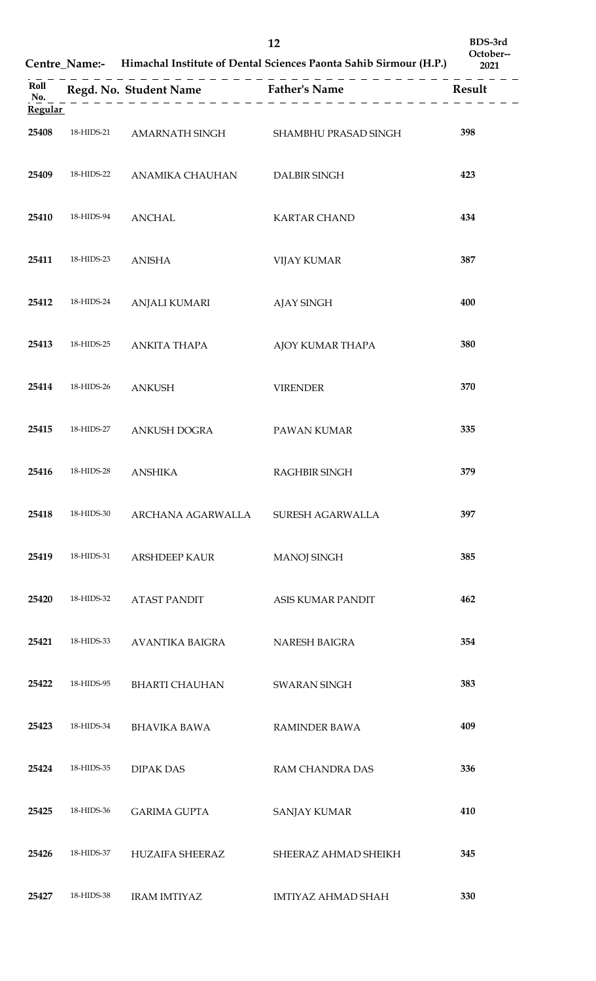|                |            |                                      | 12<br>Centre_Name:- Himachal Institute of Dental Sciences Paonta Sahib Sirmour (H.P.) | BDS-3rd<br>October--<br>2021 |
|----------------|------------|--------------------------------------|---------------------------------------------------------------------------------------|------------------------------|
| Roll<br>No.    |            | Regd. No. Student Name Father's Name | <b>Result</b><br>. <u>.</u>                                                           |                              |
| <b>Regular</b> |            |                                      |                                                                                       |                              |
| 25408          | 18-HIDS-21 |                                      | AMARNATH SINGH SHAMBHU PRASAD SINGH                                                   | 398                          |
| 25409          | 18-HIDS-22 | ANAMIKA CHAUHAN                      | <b>DALBIR SINGH</b>                                                                   | 423                          |
| 25410          | 18-HIDS-94 | <b>ANCHAL</b>                        | <b>KARTAR CHAND</b>                                                                   | 434                          |
| 25411          | 18-HIDS-23 | <b>ANISHA</b>                        | <b>VIJAY KUMAR</b>                                                                    | 387                          |
| 25412          | 18-HIDS-24 | <b>ANJALI KUMARI</b>                 | AJAY SINGH                                                                            | 400                          |
| 25413          | 18-HIDS-25 | ANKITA THAPA                         | AJOY KUMAR THAPA                                                                      | 380                          |
| 25414          | 18-HIDS-26 | <b>ANKUSH</b>                        | <b>VIRENDER</b>                                                                       | 370                          |
| 25415          | 18-HIDS-27 | ANKUSH DOGRA                         | PAWAN KUMAR                                                                           | 335                          |
|                |            | 25416 18-HIDS-28 ANSHIKA             | RAGHBIR SINGH                                                                         | 379                          |
| 25418          | 18-HIDS-30 | ARCHANA AGARWALLA                    | SURESH AGARWALLA                                                                      | 397                          |
| 25419          | 18-HIDS-31 | <b>ARSHDEEP KAUR</b>                 | <b>MANOJ SINGH</b>                                                                    | 385                          |
| 25420          | 18-HIDS-32 | <b>ATAST PANDIT</b>                  | ASIS KUMAR PANDIT                                                                     | 462                          |
| 25421          | 18-HIDS-33 | AVANTIKA BAIGRA                      | NARESH BAIGRA                                                                         | 354                          |
| 25422          | 18-HIDS-95 | <b>BHARTI CHAUHAN</b>                | <b>SWARAN SINGH</b>                                                                   | 383                          |
| 25423          | 18-HIDS-34 | <b>BHAVIKA BAWA</b>                  | <b>RAMINDER BAWA</b>                                                                  | 409                          |
| 25424          | 18-HIDS-35 | <b>DIPAK DAS</b>                     | RAM CHANDRA DAS                                                                       | 336                          |
| 25425          | 18-HIDS-36 | <b>GARIMA GUPTA</b>                  | <b>SANJAY KUMAR</b>                                                                   | 410                          |
| 25426          | 18-HIDS-37 | <b>HUZAIFA SHEERAZ</b>               | SHEERAZ AHMAD SHEIKH                                                                  | 345                          |
| 25427          | 18-HIDS-38 | <b>IRAM IMTIYAZ</b>                  | <b>IMTIYAZ AHMAD SHAH</b>                                                             | 330                          |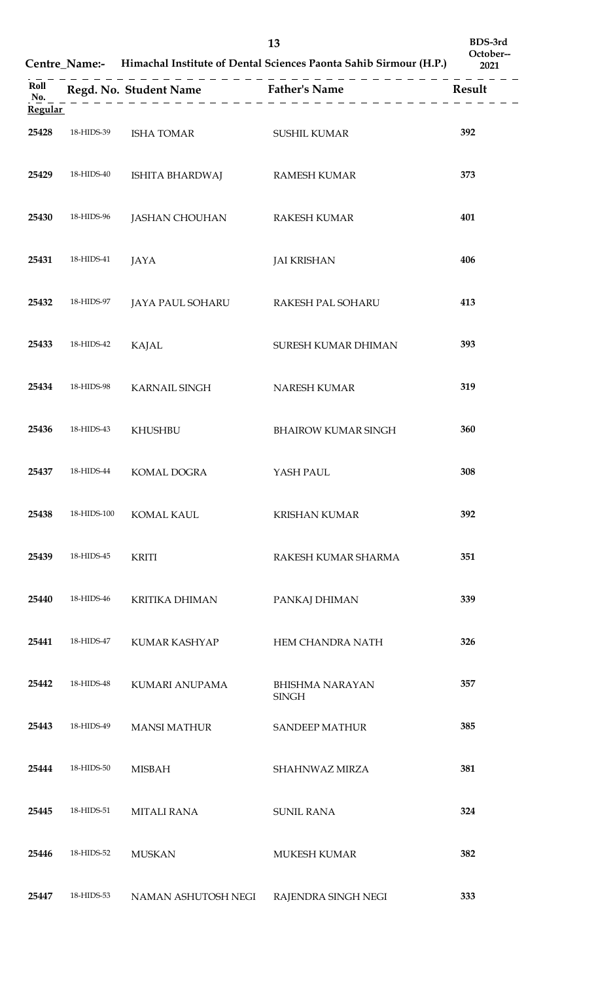|                               |             |                                    | 13<br>Centre_Name:- Himachal Institute of Dental Sciences Paonta Sahib Sirmour (H.P.) | BDS-3rd<br>October--<br>2021 |
|-------------------------------|-------------|------------------------------------|---------------------------------------------------------------------------------------|------------------------------|
| Roll<br>No.<br><b>Regular</b> |             |                                    | $    -$                                                                               | Result                       |
| 25428                         | 18-HIDS-39  | <b>ISHA TOMAR</b>                  | <b>SUSHIL KUMAR</b>                                                                   | 392                          |
| 25429                         | 18-HIDS-40  | ISHITA BHARDWAJ                    | <b>RAMESH KUMAR</b>                                                                   | 373                          |
| 25430                         | 18-HIDS-96  | JASHAN CHOUHAN                     | <b>RAKESH KUMAR</b>                                                                   | 401                          |
| 25431                         | 18-HIDS-41  | JAYA                               | <b>JAI KRISHAN</b>                                                                    | 406                          |
| 25432                         | 18-HIDS-97  | JAYA PAUL SOHARU RAKESH PAL SOHARU |                                                                                       | 413                          |
| 25433                         | 18-HIDS-42  | <b>KAJAL</b>                       | SURESH KUMAR DHIMAN                                                                   | 393                          |
| 25434                         | 18-HIDS-98  | KARNAIL SINGH                      | NARESH KUMAR                                                                          | 319                          |
| 25436                         | 18-HIDS-43  | <b>KHUSHBU</b>                     | <b>BHAIROW KUMAR SINGH</b>                                                            | 360                          |
| 25437                         | 18-HIDS-44  | KOMAL DOGRA                        | YASH PAUL                                                                             | 308                          |
| 25438                         | 18-HIDS-100 | <b>KOMAL KAUL</b>                  | <b>KRISHAN KUMAR</b>                                                                  | 392                          |
| 25439                         | 18-HIDS-45  | <b>KRITI</b>                       | RAKESH KUMAR SHARMA                                                                   | 351                          |
| 25440                         | 18-HIDS-46  | <b>KRITIKA DHIMAN</b>              | PANKAJ DHIMAN                                                                         | 339                          |
| 25441                         | 18-HIDS-47  | KUMAR KASHYAP                      | HEM CHANDRA NATH                                                                      | 326                          |
| 25442                         | 18-HIDS-48  | KUMARI ANUPAMA                     | BHISHMA NARAYAN<br><b>SINGH</b>                                                       | 357                          |
| 25443                         | 18-HIDS-49  | <b>MANSI MATHUR</b>                | <b>SANDEEP MATHUR</b>                                                                 | 385                          |
| 25444                         | 18-HIDS-50  | <b>MISBAH</b>                      | SHAHNWAZ MIRZA                                                                        | 381                          |
| 25445                         | 18-HIDS-51  | <b>MITALI RANA</b>                 | <b>SUNIL RANA</b>                                                                     | 324                          |
| 25446                         | 18-HIDS-52  | <b>MUSKAN</b>                      | <b>MUKESH KUMAR</b>                                                                   | 382                          |
| 25447                         | 18-HIDS-53  | NAMAN ASHUTOSH NEGI                | RAJENDRA SINGH NEGI                                                                   | 333                          |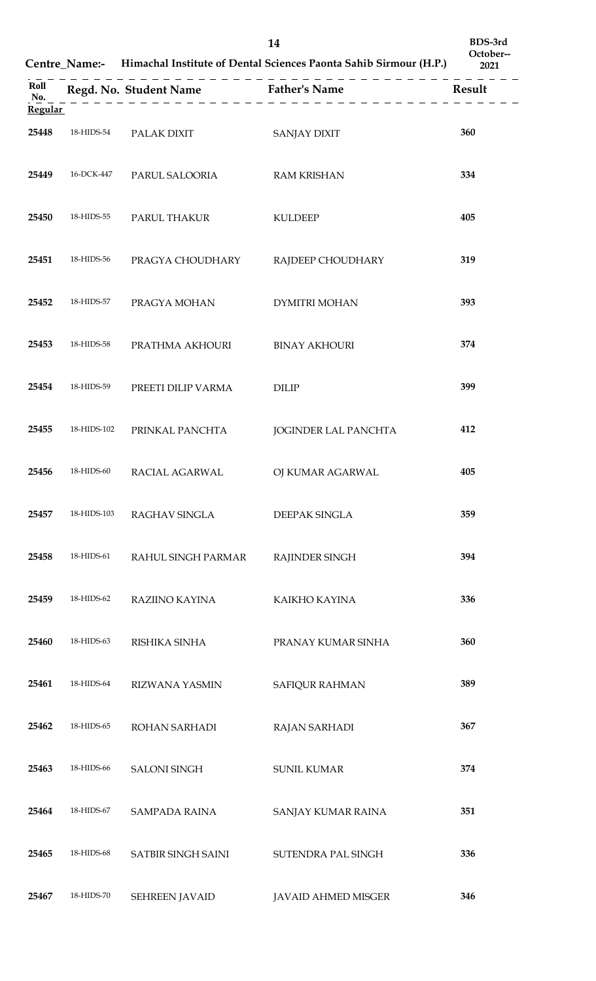|                               |             |                                                                    | 14<br>Centre_Name:- Himachal Institute of Dental Sciences Paonta Sahib Sirmour (H.P.) | BDS-3rd<br>October--<br>2021 |
|-------------------------------|-------------|--------------------------------------------------------------------|---------------------------------------------------------------------------------------|------------------------------|
| Roll<br>No.<br><b>Regular</b> |             | Regd. No. Student Name Father's Name<br><u>_________________</u> _ | _ _ _ _ _ _ _ _ _ _ _                                                                 | Result                       |
| 25448                         | 18-HIDS-54  | PALAK DIXIT                                                        | <b>SANJAY DIXIT</b>                                                                   | 360                          |
| 25449                         | 16-DCK-447  | PARUL SALOORIA                                                     | <b>RAM KRISHAN</b>                                                                    | 334                          |
| 25450                         | 18-HIDS-55  | PARUL THAKUR                                                       | <b>KULDEEP</b>                                                                        | 405                          |
| 25451                         | 18-HIDS-56  | PRAGYA CHOUDHARY                                                   | RAJDEEP CHOUDHARY                                                                     | 319                          |
| 25452                         | 18-HIDS-57  | PRAGYA MOHAN                                                       | <b>DYMITRI MOHAN</b>                                                                  | 393                          |
| 25453                         | 18-HIDS-58  | PRATHMA AKHOURI                                                    | <b>BINAY AKHOURI</b>                                                                  | 374                          |
| 25454                         | 18-HIDS-59  | PREETI DILIP VARMA                                                 | <b>DILIP</b>                                                                          | 399                          |
| 25455                         | 18-HIDS-102 | PRINKAL PANCHTA                                                    | <b>JOGINDER LAL PANCHTA</b>                                                           | 412                          |
|                               |             | 25456 18-HIDS-60 RACIAL AGARWAL OJ KUMAR AGARWAL                   |                                                                                       | 405                          |
| 25457                         | 18-HIDS-103 | RAGHAV SINGLA                                                      | DEEPAK SINGLA                                                                         | 359                          |
| 25458                         | 18-HIDS-61  | RAHUL SINGH PARMAR                                                 | RAJINDER SINGH                                                                        | 394                          |
| 25459                         | 18-HIDS-62  | RAZIINO KAYINA                                                     | KAIKHO KAYINA                                                                         | 336                          |
| 25460                         | 18-HIDS-63  | RISHIKA SINHA                                                      | PRANAY KUMAR SINHA                                                                    | 360                          |
| 25461                         | 18-HIDS-64  | <b>RIZWANA YASMIN</b>                                              | SAFIQUR RAHMAN                                                                        | 389                          |
| 25462                         | 18-HIDS-65  | ROHAN SARHADI                                                      | <b>RAJAN SARHADI</b>                                                                  | 367                          |
| 25463                         | 18-HIDS-66  | <b>SALONI SINGH</b>                                                | <b>SUNIL KUMAR</b>                                                                    | 374                          |
| 25464                         | 18-HIDS-67  | <b>SAMPADA RAINA</b>                                               | SANJAY KUMAR RAINA                                                                    | 351                          |
| 25465                         | 18-HIDS-68  | SATBIR SINGH SAINI                                                 | SUTENDRA PAL SINGH                                                                    | 336                          |
| 25467                         | 18-HIDS-70  | <b>SEHREEN JAVAID</b>                                              | <b>JAVAID AHMED MISGER</b>                                                            | 346                          |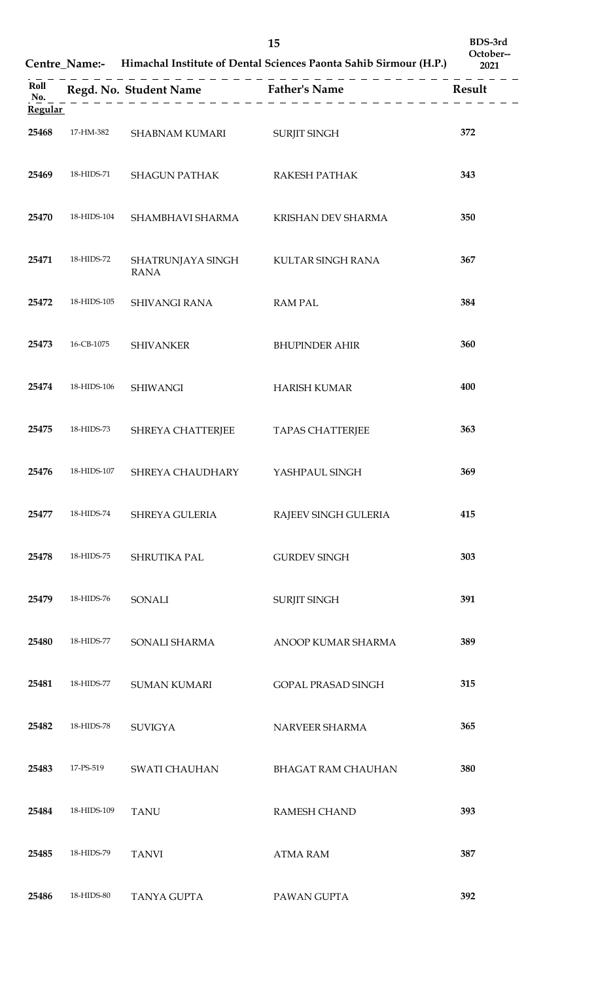|                | 15<br>Centre_Name:- Himachal Institute of Dental Sciences Paonta Sahib Sirmour (H.P.) |                                  |                                      | BDS-3rd<br>October--<br>2021 |
|----------------|---------------------------------------------------------------------------------------|----------------------------------|--------------------------------------|------------------------------|
| Roll<br>No.    |                                                                                       |                                  | Regd. No. Student Name Father's Name | Result                       |
| <b>Regular</b> |                                                                                       |                                  |                                      |                              |
| 25468          | 17-HM-382                                                                             | SHABNAM KUMARI                   | <b>SURJIT SINGH</b>                  | 372                          |
| 25469          | 18-HIDS-71                                                                            | <b>SHAGUN PATHAK</b>             | RAKESH PATHAK                        | 343                          |
| 25470          | 18-HIDS-104                                                                           | SHAMBHAVI SHARMA                 | KRISHAN DEV SHARMA                   | 350                          |
| 25471          | 18-HIDS-72                                                                            | SHATRUNJAYA SINGH<br><b>RANA</b> | KULTAR SINGH RANA                    | 367                          |
| 25472          | 18-HIDS-105                                                                           | <b>SHIVANGI RANA</b>             | <b>RAM PAL</b>                       | 384                          |
| 25473          | 16-CB-1075                                                                            | <b>SHIVANKER</b>                 | <b>BHUPINDER AHIR</b>                | 360                          |
| 25474          | 18-HIDS-106                                                                           | <b>SHIWANGI</b>                  | <b>HARISH KUMAR</b>                  | 400                          |
| 25475          | 18-HIDS-73                                                                            | <b>SHREYA CHATTERJEE</b>         | <b>TAPAS CHATTERJEE</b>              | 363                          |
| 25476          | 18-HIDS-107                                                                           | SHREYA CHAUDHARY                 | YASHPAUL SINGH                       | 369                          |
| 25477          | 18-HIDS-74                                                                            | SHREYA GULERIA                   | RAJEEV SINGH GULERIA                 | 415                          |
| 25478          | 18-HIDS-75                                                                            | SHRUTIKA PAL                     | <b>GURDEV SINGH</b>                  | 303                          |
| 25479          | 18-HIDS-76                                                                            | <b>SONALI</b>                    | SURJIT SINGH                         | 391                          |
| 25480          | 18-HIDS-77                                                                            | SONALI SHARMA                    | ANOOP KUMAR SHARMA                   | 389                          |
| 25481          | 18-HIDS-77                                                                            | <b>SUMAN KUMARI</b>              | <b>GOPAL PRASAD SINGH</b>            | 315                          |
| 25482          | 18-HIDS-78                                                                            | <b>SUVIGYA</b>                   | NARVEER SHARMA                       | 365                          |
| 25483          | 17-PS-519                                                                             | <b>SWATI CHAUHAN</b>             | <b>BHAGAT RAM CHAUHAN</b>            | 380                          |
| 25484          | 18-HIDS-109                                                                           | <b>TANU</b>                      | <b>RAMESH CHAND</b>                  | 393                          |
| 25485          | 18-HIDS-79                                                                            | <b>TANVI</b>                     | <b>ATMA RAM</b>                      | 387                          |
| 25486          | 18-HIDS-80                                                                            | <b>TANYA GUPTA</b>               | PAWAN GUPTA                          | 392                          |